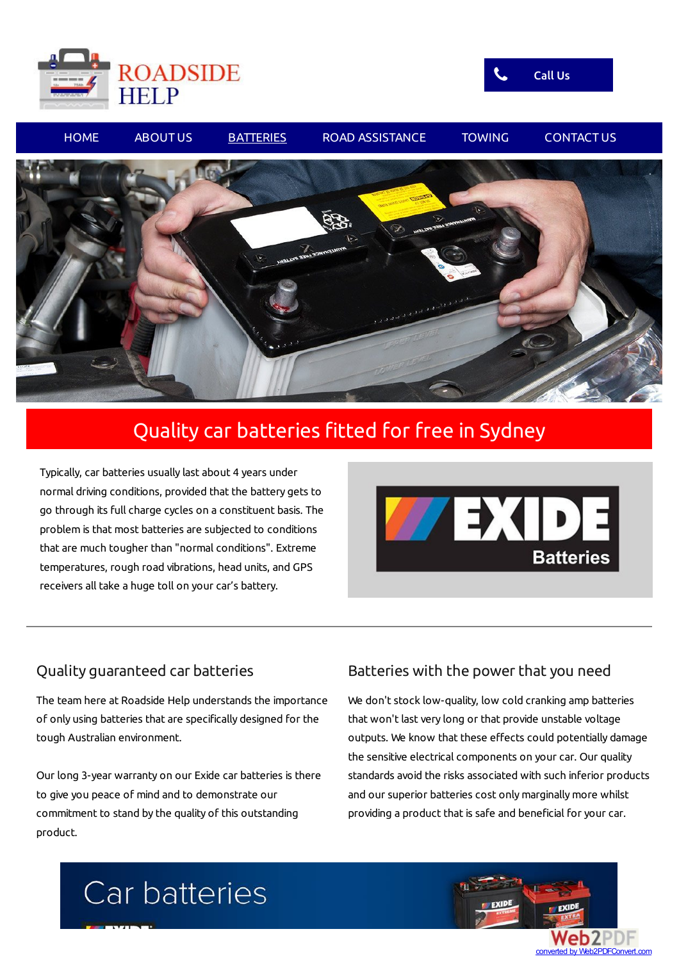





## Quality car batteries fitted for free in Sydney

Typically, car batteries usually last about 4 years under normal driving conditions, provided that the battery gets to go through its full charge cycles on a constituent basis. The problem is that most batteries are subjected to conditions that are much tougher than "normal conditions". Extreme temperatures, rough road vibrations, head units, and GPS receivers all take a huge toll on your car's battery.



### Quality guaranteed car batteries

The team here at Roadside Help understands the importance of only using batteries that are specifically designed for the tough Australian environment.

Our long 3-year warranty on our Exide car batteries is there to give you peace of mind and to demonstrate our commitment to stand by the quality of this outstanding product.

### Batteries with the power that you need

We don't stock low-quality, low cold cranking amp batteries that won't last very long or that provide unstable voltage outputs. We know that these effects could potentially damage the sensitive electrical components on your car. Our quality standards avoid the risks associated with such inferior products and our superior batteries cost only marginally more whilst providing a product that is safe and beneficial for your car.

# Car batteries

converted by Web2PDFConvert.com